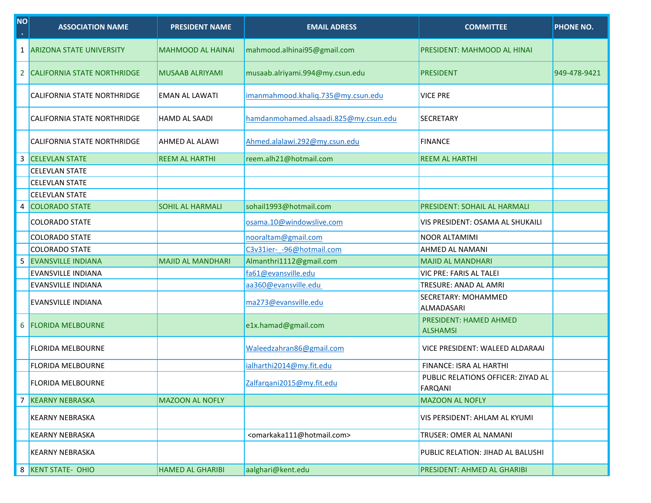| <b>NO</b><br>$\bullet$ | <b>ASSOCIATION NAME</b>            | <b>PRESIDENT NAME</b>    | <b>EMAIL ADRESS</b>                                 | <b>COMMITTEE</b>                                     | <b>PHONE NO.</b> |
|------------------------|------------------------------------|--------------------------|-----------------------------------------------------|------------------------------------------------------|------------------|
| 1                      | <b>ARIZONA STATE UNIVERSITY</b>    | <b>MAHMOOD AL HAINAI</b> | mahmood.alhinai95@gmail.com                         | PRESIDENT: MAHMOOD AL HINAI                          |                  |
| 2                      | <b>CALIFORNIA STATE NORTHRIDGE</b> | <b>MUSAAB ALRIYAMI</b>   | musaab.alriyami.994@my.csun.edu                     | <b>PRESIDENT</b>                                     | 949-478-9421     |
|                        | CALIFORNIA STATE NORTHRIDGE        | <b>EMAN AL LAWATI</b>    | imanmahmood.khaliq.735@my.csun.edu                  | <b>VICE PRE</b>                                      |                  |
|                        | CALIFORNIA STATE NORTHRIDGE        | <b>HAMD AL SAADI</b>     | hamdanmohamed.alsaadi.825@my.csun.edu               | <b>SECRETARY</b>                                     |                  |
|                        | CALIFORNIA STATE NORTHRIDGE        | AHMED AL ALAWI           | Ahmed.alalawi.292@my.csun.edu                       | <b>FINANCE</b>                                       |                  |
| 3                      | <b>CELEVLAN STATE</b>              | <b>REEM AL HARTHI</b>    | reem.alh21@hotmail.com                              | <b>REEM AL HARTHI</b>                                |                  |
|                        | <b>CELEVLAN STATE</b>              |                          |                                                     |                                                      |                  |
|                        | <b>CELEVLAN STATE</b>              |                          |                                                     |                                                      |                  |
|                        | <b>CELEVLAN STATE</b>              |                          |                                                     |                                                      |                  |
| 4                      | <b>COLORADO STATE</b>              | <b>SOHIL AL HARMALI</b>  | sohail1993@hotmail.com                              | PRESIDENT: SOHAIL AL HARMALI                         |                  |
|                        | <b>COLORADO STATE</b>              |                          | osama.10@windowslive.com                            | VIS PRESIDENT: OSAMA AL SHUKAILI                     |                  |
|                        | <b>COLORADO STATE</b>              |                          | nooraltam@gmail.com                                 | <b>NOOR ALTAMIMI</b>                                 |                  |
|                        | <b>COLORADO STATE</b>              |                          | C3v31ier- - 96@hotmail.com                          | <b>AHMED AL NAMANI</b>                               |                  |
| 5                      | <b>EVANSVILLE INDIANA</b>          | <b>MAJID AL MANDHARI</b> | Almanthri1112@gmail.com                             | <b>MAJID AL MANDHARI</b>                             |                  |
|                        | EVANSVILLE INDIANA                 |                          | fa61@evansville.edu                                 | VIC PRE: FARIS AL TALEI                              |                  |
|                        | EVANSVILLE INDIANA                 |                          | aa360@evansville.edu                                | TRESURE: ANAD AL AMRI                                |                  |
|                        | EVANSVILLE INDIANA                 |                          | ma273@evansville.edu                                | SECRETARY: MOHAMMED<br>ALMADASARI                    |                  |
| 6                      | <b>FLORIDA MELBOURNE</b>           |                          | e1x.hamad@gmail.com                                 | PRESIDENT: HAMED AHMED<br><b>ALSHAMSI</b>            |                  |
|                        | <b>FLORIDA MELBOURNE</b>           |                          | Waleedzahran86@gmail.com                            | VICE PRESIDENT: WALEED ALDARAAI                      |                  |
|                        | <b>FLORIDA MELBOURNE</b>           |                          | ialharthi2014@my.fit.edu                            | FINANCE: ISRA AL HARTHI                              |                  |
|                        | <b>FLORIDA MELBOURNE</b>           |                          | Zalfarqani2015@my.fit.edu                           | PUBLIC RELATIONS OFFICER: ZIYAD AL<br><b>FARQANI</b> |                  |
| 7                      | <b>KEARNY NEBRASKA</b>             | <b>MAZOON AL NOFLY</b>   |                                                     | <b>MAZOON AL NOFLY</b>                               |                  |
|                        | <b>KEARNY NEBRASKA</b>             |                          |                                                     | VIS PERSIDENT: AHLAM AL KYUMI                        |                  |
|                        | <b>KEARNY NEBRASKA</b>             |                          | <omarkaka111@hotmail.com></omarkaka111@hotmail.com> | TRUSER: OMER AL NAMANI                               |                  |
|                        | <b>KEARNY NEBRASKA</b>             |                          |                                                     | PUBLIC RELATION: JIHAD AL BALUSHI                    |                  |
| 8                      | <b>KENT STATE- OHIO</b>            | <b>HAMED AL GHARIBI</b>  | aalghari@kent.edu                                   | PRESIDENT: AHMED AL GHARIBI                          |                  |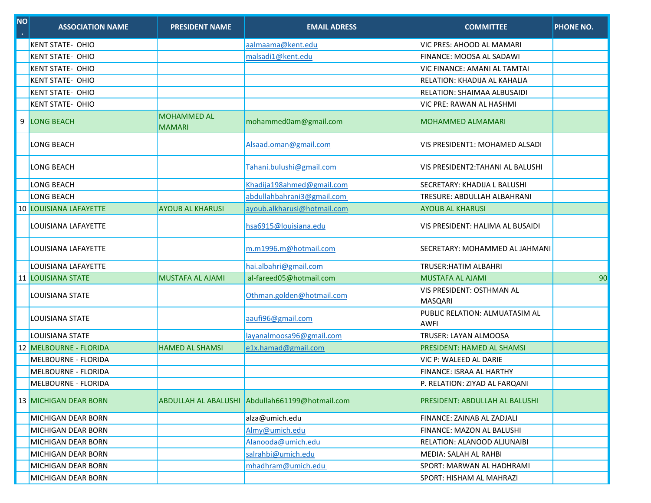| <b>NO</b><br>$\mathbf{r}$ | <b>ASSOCIATION NAME</b>       | <b>PRESIDENT NAME</b>               | <b>EMAIL ADRESS</b>                             | <b>COMMITTEE</b>                                     | <b>PHONE NO.</b> |
|---------------------------|-------------------------------|-------------------------------------|-------------------------------------------------|------------------------------------------------------|------------------|
|                           | <b>KENT STATE- OHIO</b>       |                                     | aalmaama@kent.edu                               | VIC PRES: AHOOD AL MAMARI                            |                  |
|                           | <b>KENT STATE- OHIO</b>       |                                     | malsadi1@kent.edu                               | <b>FINANCE: MOOSA AL SADAWI</b>                      |                  |
|                           | <b>KENT STATE- OHIO</b>       |                                     |                                                 | VIC FINANCE: AMANI AL TAMTAI                         |                  |
|                           | <b>KENT STATE- OHIO</b>       |                                     |                                                 | RELATION: KHADIJA AL KAHALIA                         |                  |
|                           | <b>KENT STATE- OHIO</b>       |                                     |                                                 | RELATION: SHAIMAA ALBUSAIDI                          |                  |
|                           | <b>KENT STATE- OHIO</b>       |                                     |                                                 | VIC PRE: RAWAN AL HASHMI                             |                  |
|                           | 9 LONG BEACH                  | <b>MOHAMMED AL</b><br><b>MAMARI</b> | mohammed0am@gmail.com                           | <b>MOHAMMED ALMAMARI</b>                             |                  |
|                           | LONG BEACH                    |                                     | Alsaad.oman@gmail.com                           | VIS PRESIDENT1: MOHAMED ALSADI                       |                  |
|                           | <b>LONG BEACH</b>             |                                     | Tahani.bulushi@gmail.com                        | VIS PRESIDENT2:TAHANI AL BALUSHI                     |                  |
|                           | LONG BEACH                    |                                     | Khadija198ahmed@gmail.com                       | SECRETARY: KHADIJA L BALUSHI                         |                  |
|                           | <b>LONG BEACH</b>             |                                     | abdullahbahrani3@gmail.com                      | TRESURE: ABDULLAH ALBAHRANI                          |                  |
|                           | <b>10 LOUISIANA LAFAYETTE</b> | <b>AYOUB AL KHARUSI</b>             | ayoub.alkharusi@hotmail.com                     | <b>AYOUB AL KHARUSI</b>                              |                  |
|                           | LOUISIANA LAFAYETTE           |                                     | hsa6915@louisiana.edu                           | VIS PRESIDENT: HALIMA AL BUSAIDI                     |                  |
|                           | LOUISIANA LAFAYETTE           |                                     | m.m1996.m@hotmail.com                           | SECRETARY: MOHAMMED AL JAHMANI                       |                  |
|                           | LOUISIANA LAFAYETTE           |                                     | hai.albahri@gmail.com                           | TRUSER: HATIM ALBAHRI                                |                  |
|                           | <b>11 LOUISIANA STATE</b>     | <b>MUSTAFA AL AJAMI</b>             | al-fareed05@hotmail.com                         | <b>MUSTAFA AL AJAMI</b>                              | 90               |
|                           | LOUISIANA STATE               |                                     | Othman.golden@hotmail.com                       | VIS PRESIDENT: OSTHMAN AL<br>MASQARI                 |                  |
|                           | LOUISIANA STATE               |                                     | aaufi96@gmail.com                               | <b>PUBLIC RELATION: ALMUATASIM AL</b><br><b>AWFI</b> |                  |
|                           | <b>LOUISIANA STATE</b>        |                                     | layanalmoosa96@gmail.com                        | <b>TRUSER: LAYAN ALMOOSA</b>                         |                  |
|                           | <b>12 MELBOURNE - FLORIDA</b> | <b>HAMED AL SHAMSI</b>              | e1x.hamad@gmail.com                             | PRESIDENT: HAMED AL SHAMSI                           |                  |
|                           | <b>MELBOURNE - FLORIDA</b>    |                                     |                                                 | VIC P: WALEED AL DARIE                               |                  |
|                           | <b>MELBOURNE - FLORIDA</b>    |                                     |                                                 | FINANCE: ISRAA AL HARTHY                             |                  |
|                           | MELBOURNE - FLORIDA           |                                     |                                                 | P. RELATION: ZIYAD AL FARQANI                        |                  |
|                           | <b>13 MICHIGAN DEAR BORN</b>  |                                     | ABDULLAH AL ABALUSHI Abdullah661199@hotmail.com | PRESIDENT: ABDULLAH AL BALUSHI                       |                  |
|                           | MICHIGAN DEAR BORN            |                                     | alza@umich.edu                                  | FINANCE: ZAINAB AL ZADJALI                           |                  |
|                           | MICHIGAN DEAR BORN            |                                     | Almy@umich.edu                                  | FINANCE: MAZON AL BALUSHI                            |                  |
|                           | MICHIGAN DEAR BORN            |                                     | Alanooda@umich.edu                              | RELATION: ALANOOD ALJUNAIBI                          |                  |
|                           | <b>MICHIGAN DEAR BORN</b>     |                                     | salrahbi@umich.edu                              | MEDIA: SALAH AL RAHBI                                |                  |
|                           | <b>MICHIGAN DEAR BORN</b>     |                                     | mhadhram@umich.edu                              | SPORT: MARWAN AL HADHRAMI                            |                  |
|                           | MICHIGAN DEAR RORN            |                                     |                                                 | SPORT HISHAM AL MAHRAZI                              |                  |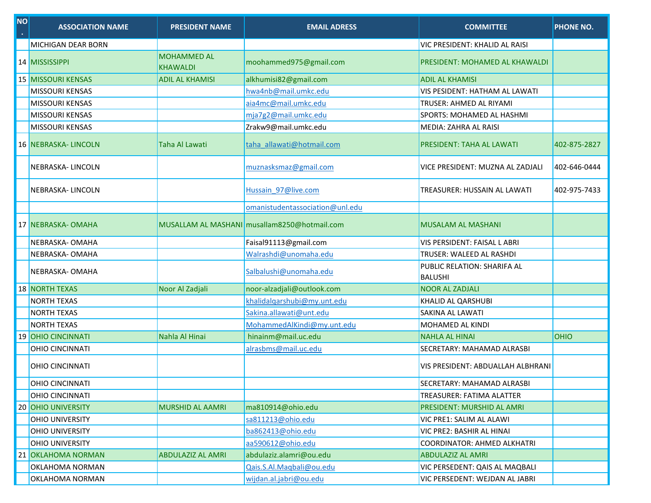| <b>NO</b><br>$\bullet$ | <b>ASSOCIATION NAME</b>   | <b>PRESIDENT NAME</b>                 | <b>EMAIL ADRESS</b>                          | <b>COMMITTEE</b>                              | <b>PHONE NO.</b> |
|------------------------|---------------------------|---------------------------------------|----------------------------------------------|-----------------------------------------------|------------------|
|                        | <b>MICHIGAN DEAR BORN</b> |                                       |                                              | VIC PRESIDENT: KHALID AL RAISI                |                  |
|                        | 14 MISSISSIPPI            | <b>MOHAMMED AL</b><br><b>KHAWALDI</b> | moohammed975@gmail.com                       | PRESIDENT: MOHAMED AL KHAWALDI                |                  |
|                        | <b>15 MISSOURI KENSAS</b> | <b>ADIL AL KHAMISI</b>                | alkhumisi82@gmail.com                        | <b>ADIL AL KHAMISI</b>                        |                  |
|                        | <b>MISSOURI KENSAS</b>    |                                       | hwa4nb@mail.umkc.edu                         | VIS PESIDENT: HATHAM AL LAWATI                |                  |
|                        | <b>MISSOURI KENSAS</b>    |                                       | aia4mc@mail.umkc.edu                         | TRUSER: AHMED AL RIYAMI                       |                  |
|                        | <b>MISSOURI KENSAS</b>    |                                       | mja7g2@mail.umkc.edu                         | SPORTS: MOHAMED AL HASHMI                     |                  |
|                        | <b>MISSOURI KENSAS</b>    |                                       | Zrakw9@mail.umkc.edu                         | MEDIA: ZAHRA AL RAISI                         |                  |
|                        | 16 NEBRASKA- LINCOLN      | Taha Al Lawati                        | taha allawati@hotmail.com                    | PRESIDENT: TAHA AL LAWATI                     | 402-875-2827     |
|                        | NEBRASKA-LINCOLN          |                                       | muznasksmaz@gmail.com                        | VICE PRESIDENT: MUZNA AL ZADJALI              | 402-646-0444     |
|                        | NEBRASKA-LINCOLN          |                                       | Hussain 97@live.com                          | TREASURER: HUSSAIN AL LAWATI                  | 402-975-7433     |
|                        |                           |                                       | omanistudentassociation@unl.edu              |                                               |                  |
|                        | 17 NEBRASKA- OMAHA        |                                       | MUSALLAM AL MASHANI musallam8250@hotmail.com | <b>MUSALAM AL MASHANI</b>                     |                  |
|                        | NEBRASKA-OMAHA            |                                       | Faisal91113@gmail.com                        | VIS PERSIDENT: FAISAL LABRI                   |                  |
|                        | NEBRASKA-OMAHA            |                                       | Walrashdi@unomaha.edu                        | TRUSER: WALEED AL RASHDI                      |                  |
|                        | NEBRASKA-OMAHA            |                                       | Salbalushi@unomaha.edu                       | PUBLIC RELATION: SHARIFA AL<br><b>BALUSHI</b> |                  |
|                        | <b>18 NORTH TEXAS</b>     | Noor Al Zadjali                       | noor-alzadjali@outlook.com                   | <b>NOOR AL ZADJALI</b>                        |                  |
|                        | <b>NORTH TEXAS</b>        |                                       | khalidalqarshubi@my.unt.edu                  | KHALID AL QARSHUBI                            |                  |
|                        | <b>NORTH TEXAS</b>        |                                       | Sakina.allawati@unt.edu                      | SAKINA AL LAWATI                              |                  |
|                        | <b>NORTH TEXAS</b>        |                                       | MohammedAlKindi@my.unt.edu                   | MOHAMED AL KINDI                              |                  |
|                        | 19 OHIO CINCINNATI        | Nahla Al Hinai                        | hinainm@mail.uc.edu                          | <b>NAHLA AL HINAI</b>                         | <b>OHIO</b>      |
|                        | <b>OHIO CINCINNATI</b>    |                                       | alrasbms@mail.uc.edu                         | SECRETARY: MAHAMAD ALRASBI                    |                  |
|                        | <b>OHIO CINCINNATI</b>    |                                       |                                              | VIS PRESIDENT: ABDUALLAH ALBHRANI             |                  |
|                        | <b>OHIO CINCINNATI</b>    |                                       |                                              | SECRETARY: MAHAMAD ALRASBI                    |                  |
|                        | <b>OHIO CINCINNATI</b>    |                                       |                                              | TREASURER: FATIMA ALATTER                     |                  |
|                        | 20 OHIO UNIVERSITY        | <b>MURSHID AL AAMRI</b>               | ma810914@ohio.edu                            | PRESIDENT: MURSHID AL AMRI                    |                  |
|                        | <b>OHIO UNIVERSITY</b>    |                                       | sa811213@ohio.edu                            | VIC PRE1: SALIM AL ALAWI                      |                  |
|                        | <b>OHIO UNIVERSITY</b>    |                                       | ba862413@ohio.edu                            | VIC PRE2: BASHIR AL HINAI                     |                  |
|                        | <b>OHIO UNIVERSITY</b>    |                                       | aa590612@ohio.edu                            | <b>COORDINATOR: AHMED ALKHATRI</b>            |                  |
|                        | 21 OKLAHOMA NORMAN        | <b>ABDULAZIZ AL AMRI</b>              | abdulaziz.alamri@ou.edu                      | <b>ABDULAZIZ AL AMRI</b>                      |                  |
|                        | OKLAHOMA NORMAN           |                                       | Qais.S.Al.Magbali@ou.edu                     | VIC PERSEDENT: QAIS AL MAQBALI                |                  |
|                        | <b>OVIALIONAA NODMAAN</b> |                                       | wider al inheimeu edu                        | VIC DEDCEDENT, WEIDAN AL JADDI                |                  |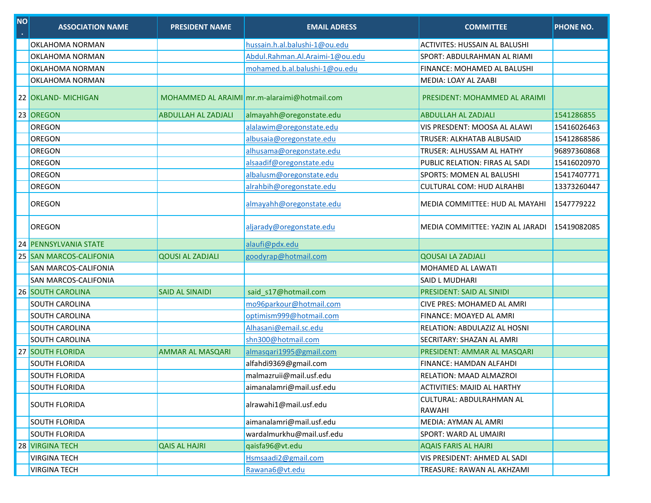| $\overline{\text{NO}}$ | <b>ASSOCIATION NAME</b>   | <b>PRESIDENT NAME</b>      | <b>EMAIL ADRESS</b>                          | <b>COMMITTEE</b>                      | <b>PHONE NO.</b> |
|------------------------|---------------------------|----------------------------|----------------------------------------------|---------------------------------------|------------------|
|                        | OKLAHOMA NORMAN           |                            | hussain.h.al.balushi-1@ou.edu                | ACTIVITES: HUSSAIN AL BALUSHI         |                  |
|                        | OKLAHOMA NORMAN           |                            | Abdul.Rahman.Al.Araimi-1@ou.edu              | SPORT: ABDULRAHMAN AL RIAMI           |                  |
|                        | OKLAHOMA NORMAN           |                            | mohamed.b.al.balushi-1@ou.edu                | FINANCE: MOHAMED AL BALUSHI           |                  |
|                        | OKLAHOMA NORMAN           |                            |                                              | MEDIA: LOAY AL ZAABI                  |                  |
|                        | 22 OKLAND- MICHIGAN       |                            | MOHAMMED AL ARAIMI mr.m-alaraimi@hotmail.com | PRESIDENT: MOHAMMED AL ARAIMI         |                  |
|                        | 23 OREGON                 | <b>ABDULLAH AL ZADJALI</b> | almayahh@oregonstate.edu                     | <b>ABDULLAH AL ZADJALI</b>            | 1541286855       |
|                        | OREGON                    |                            | alalawim@oregonstate.edu                     | VIS PRESDENT: MOOSA AL ALAWI          | 15416026463      |
|                        | OREGON                    |                            | albusaia@oregonstate.edu                     | TRUSER: ALKHATAB ALBUSAID             | 15412868586      |
|                        | OREGON                    |                            | alhusama@oregonstate.edu                     | TRUSER: ALHUSSAM AL HATHY             | 96897360868      |
|                        | OREGON                    |                            | alsaadif@oregonstate.edu                     | PUBLIC RELATION: FIRAS AL SADI        | 15416020970      |
|                        | OREGON                    |                            | albalusm@oregonstate.edu                     | <b>SPORTS: MOMEN AL BALUSHI</b>       | 15417407771      |
|                        | OREGON                    |                            | alrahbih@oregonstate.edu                     | <b>CULTURAL COM: HUD ALRAHBI</b>      | 13373260447      |
|                        | OREGON                    |                            | almayahh@oregonstate.edu                     | <b>MEDIA COMMITTEE: HUD AL MAYAHI</b> | 1547779222       |
|                        | OREGON                    |                            | aljarady@oregonstate.edu                     | MEDIA COMMITTEE: YAZIN AL JARADI      | 15419082085      |
| 24                     | <b>PENNSYLVANIA STATE</b> |                            | alaufi@pdx.edu                               |                                       |                  |
|                        | 25 SAN MARCOS-CALIFONIA   | <b>QOUSI AL ZADJALI</b>    | goodyrap@hotmail.com                         | <b>QOUSAI LA ZADJALI</b>              |                  |
|                        | SAN MARCOS-CALIFONIA      |                            |                                              | MOHAMED AL LAWATI                     |                  |
|                        | SAN MARCOS-CALIFONIA      |                            |                                              | SAID L MUDHARI                        |                  |
|                        | 26 SOUTH CAROLINA         | <b>SAID AL SINAIDI</b>     | said_s17@hotmail.com                         | <b>PRESIDENT: SAID AL SINIDI</b>      |                  |
|                        | SOUTH CAROLINA            |                            | mo96parkour@hotmail.com                      | CIVE PRES: MOHAMED AL AMRI            |                  |
|                        | <b>SOUTH CAROLINA</b>     |                            | optimism999@hotmail.com                      | FINANCE: MOAYED AL AMRI               |                  |
|                        | SOUTH CAROLINA            |                            | Alhasani@email.sc.edu                        | RELATION: ABDULAZIZ AL HOSNI          |                  |
|                        | <b>SOUTH CAROLINA</b>     |                            | shn300@hotmail.com                           | SECRITARY: SHAZAN AL AMRI             |                  |
|                        | 27 SOUTH FLORIDA          | <b>AMMAR AL MASQARI</b>    | almasqari1995@gmail.com                      | PRESIDENT: AMMAR AL MASQARI           |                  |
|                        | <b>SOUTH FLORIDA</b>      |                            | alfahdi9369@gmail.com                        | FINANCE: HAMDAN ALFAHDI               |                  |
|                        | <b>SOUTH FLORIDA</b>      |                            | malmazruii@mail.usf.edu                      | RELATION: MAAD ALMAZROI               |                  |
|                        | <b>SOUTH FLORIDA</b>      |                            | aimanalamri@mail.usf.edu                     | <b>ACTIVITIES: MAJID AL HARTHY</b>    |                  |
|                        | SOUTH FLORIDA             |                            | alrawahi1@mail.usf.edu                       | CULTURAL: ABDULRAHMAN AL<br>RAWAHI    |                  |
|                        | SOUTH FLORIDA             |                            | aimanalamri@mail.usf.edu                     | MEDIA: AYMAN AL AMRI                  |                  |
|                        | SOUTH FLORIDA             |                            | wardalmurkhu@mail.usf.edu                    | <b>SPORT: WARD AL UMAIRI</b>          |                  |
|                        | 28 VIRGINA TECH           | <b>QAIS AL HAJRI</b>       | qaisfa96@vt.edu                              | <b>AQAIS FARIS AL HAJRI</b>           |                  |
|                        | <b>VIRGINA TECH</b>       |                            | Hsmsaadi2@gmail.com                          | VIS PRESIDENT: AHMED AL SADI          |                  |
|                        | <b>VIRGINA TECH</b>       |                            | Rawana6@vt.edu                               | TREASURE: RAWAN AL AKHZAMI            |                  |